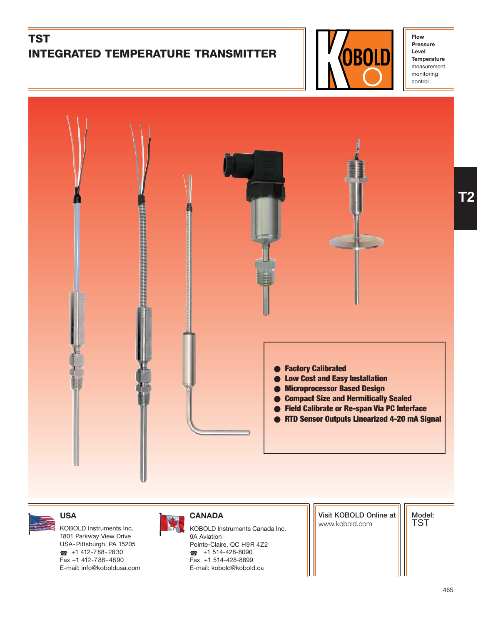# **TST INTEGRATED TEMPERATURE TRANSMITTER**



**Flow Pressure Level Temperature** measurement monitoring control

**T2**



1801 Parkway View Drive USA-Pittsburgh, PA 15205  $\bullet$  +1 412-788-2830 Fax +1 412-788-4890 E-mail: info@koboldusa.com



KOBOLD Instruments Inc. **KOBOLD Instruments Canada Inc.** And Instruments Canada Inc. 9A Aviation Pointe-Claire, QC H9R 4Z2 ☎ +1 514-428-8090 Fax +1 514-428-8899 E-mail: kobold@kobold.ca

**Visit KOBOLD Online at**

**Model:** TST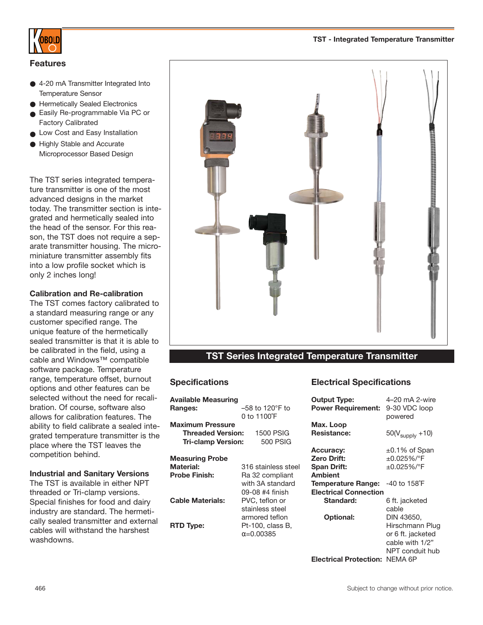

#### **Features**

- 4-20 mA Transmitter Integrated Into Temperature Sensor
- Hermetically Sealed Electronics
- Easily Re-programmable Via PC or Factory Calibrated
- Low Cost and Easy Installation
- Highly Stable and Accurate Microprocessor Based Design

The TST series integrated temperature transmitter is one of the most advanced designs in the market today. The transmitter section is integrated and hermetically sealed into the head of the sensor. For this reason, the TST does not require a separate transmitter housing. The microminiature transmitter assembly fits into a low profile socket which is only 2 inches long!

#### **Calibration and Re-calibration**

The TST comes factory calibrated to a standard measuring range or any customer specified range. The unique feature of the hermetically sealed transmitter is that it is able to be calibrated in the field, using a cable and Windows™ compatible software package. Temperature range, temperature offset, burnout options and other features can be selected without the need for recalibration. Of course, software also allows for calibration features. The ability to field calibrate a sealed integrated temperature transmitter is the place where the TST leaves the competition behind.

#### **Industrial and Sanitary Versions**

The TST is available in either NPT threaded or Tri-clamp versions. Special finishes for food and dairy industry are standard. The hermetically sealed transmitter and external cables will withstand the harshest washdowns.



### **TST Series Integrated Temperature Transmitter**

#### **Specifications**

| Available Measuring       |                             |
|---------------------------|-----------------------------|
| <b>Ranges:</b>            | $-58$ to 120 $\degree$ F to |
|                           | 0 to 1100°F                 |
| <b>Maximum Pressure</b>   |                             |
| <b>Threaded Version:</b>  | <b>1500 PSIG</b>            |
| <b>Tri-clamp Version:</b> | 500 PSIG                    |
|                           |                             |
| Measuring Probe           |                             |
| <b>Material:</b>          | 316 stainless steel         |
| <b>Probe Finish:</b>      | Ra 32 compliant             |
|                           | with 3A standard            |
|                           | 09-08 #4 finish             |
| <b>Cable Materials:</b>   | PVC, teflon or              |
|                           | stainless steel             |
|                           | armored teflon              |
| <b>RTD Type:</b>          | Pt-100, class B,            |
|                           | $\alpha = 0.00385$          |
|                           |                             |

### **Electrical Specifications**

| <b>Output Type:</b><br><b>Power Requirement:</b> | 4-20 mA 2-wire<br>9-30 VDC loop |
|--------------------------------------------------|---------------------------------|
|                                                  | powered                         |
| Max. Loop<br><b>Resistance:</b>                  |                                 |
|                                                  | $50(V_{\text{supply}} + 10)$    |
| <b>Accuracy:</b>                                 | $\pm 0.1\%$ of Span             |
| <b>Zero Drift:</b>                               | $\pm 0.025\%$ /°F               |
| <b>Span Drift:</b>                               | $\pm 0.025\%$ /°F               |
| <b>Ambient</b>                                   |                                 |
| <b>Temperature Range:</b>                        | -40 to 158°F                    |
| <b>Electrical Connection</b>                     |                                 |
| Standard:                                        | 6 ft. jacketed                  |
|                                                  | cable                           |
| <b>Optional:</b>                                 | DIN 43650.                      |
|                                                  | Hirschmann Plug                 |
|                                                  | or 6 ft. jacketed               |
|                                                  | cable with 1/2"                 |
|                                                  | NPT conduit hub                 |
|                                                  |                                 |
| <b>Electrical Protection:</b>                    | NFMA 6P                         |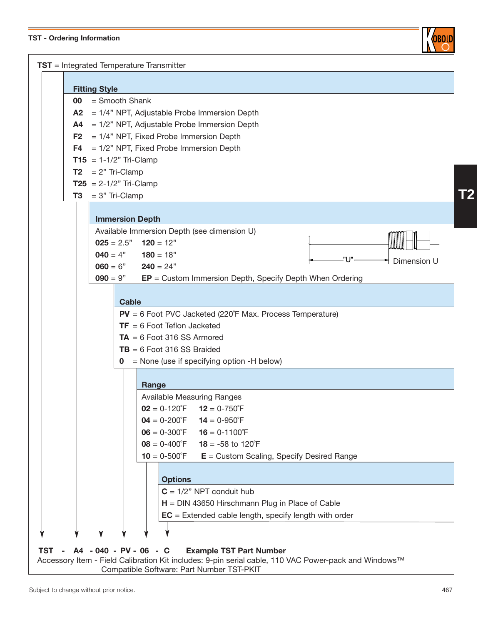#### **TST - Ordering Information**